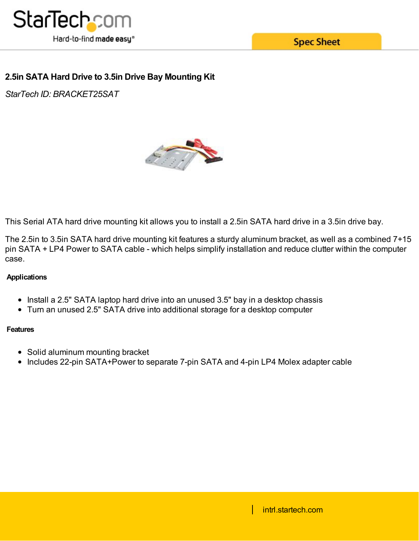

# **2.5in SATA Hard Drive to 3.5in Drive Bay Mounting Kit**

*StarTech ID: BRACKET25SAT*



This Serial ATA hard drive mounting kit allows you to install a 2.5in SATA hard drive in a 3.5in drive bay.

The 2.5in to 3.5in SATA hard drive mounting kit features a sturdy aluminum bracket, as well as a combined 7+15 pin SATA + LP4 Power to SATA cable - which helps simplify installation and reduce clutter within the computer case.

## **Applications**

- Install a 2.5" SATA laptop hard drive into an unused 3.5" bay in a desktop chassis
- Turn an unused 2.5" SATA drive into additional storage for a desktop computer

## **Features**

- Solid aluminum mounting bracket
- Includes 22-pin SATA+Power to separate 7-pin SATA and 4-pin LP4 Molex adapter cable